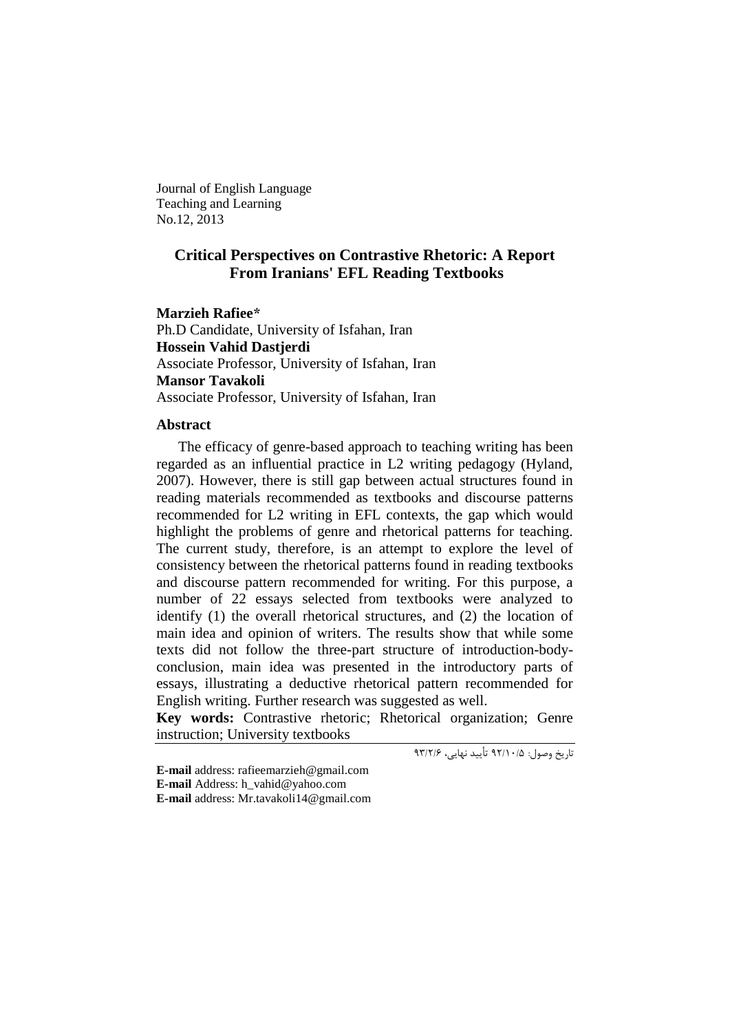Journal of English Language Teaching and Learning No.12, 2013

# **Critical Perspectives on Contrastive Rhetoric: A Report From Iranians' EFL Reading Textbooks**

**Marzieh Rafiee\***

Ph.D Candidate, University of Isfahan, Iran **Hossein Vahid Dastjerdi** Associate Professor, University of Isfahan, Iran **Mansor Tavakoli** Associate Professor, University of Isfahan, Iran

### **Abstract**

The efficacy of genre-based approach to teaching writing has been regarded as an influential practice in L2 writing pedagogy (Hyland, 2007). However, there is still gap between actual structures found in reading materials recommended as textbooks and discourse patterns recommended for L2 writing in EFL contexts, the gap which would highlight the problems of genre and rhetorical patterns for teaching. The current study, therefore, is an attempt to explore the level of consistency between the rhetorical patterns found in reading textbooks and discourse pattern recommended for writing. For this purpose, a number of 22 essays selected from textbooks were analyzed to identify (1) the overall rhetorical structures, and (2) the location of main idea and opinion of writers. The results show that while some texts did not follow the three-part structure of introduction-bodyconclusion, main idea was presented in the introductory parts of essays, illustrating a deductive rhetorical pattern recommended for English writing. Further research was suggested as well.

**Key words:** Contrastive rhetoric; Rhetorical organization; Genre instruction; University textbooks

تاریخ وصول: 29/01/5 تأیید نهایی، 29/9/6

**E-mail** address: [rafieemarzieh@gmail.com](mailto:rafieemarzieh@gmail.com) **E-mail** Address: [h\\_vahid@yahoo.com](mailto:h_vahid@yahoo.com) **E-mail** address: [Mr.tavakoli14@gmail.com](mailto:Mr.tavakoli14@gmail.com)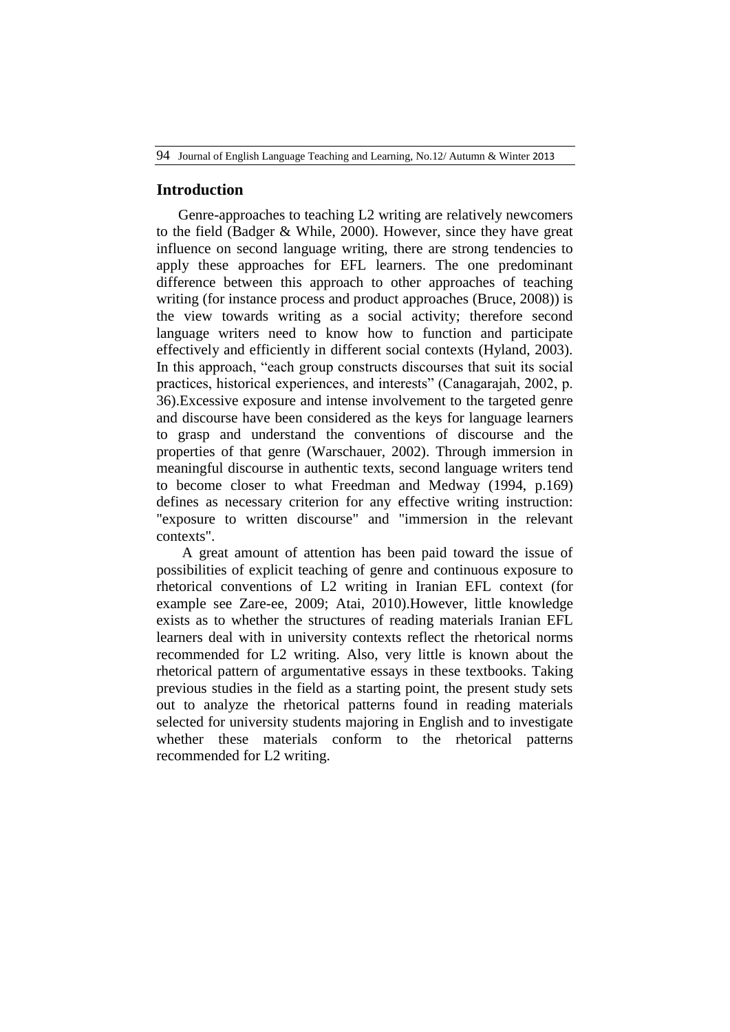## **Introduction**

Genre-approaches to teaching L2 writing are relatively newcomers to the field (Badger & While, 2000). However, since they have great influence on second language writing, there are strong tendencies to apply these approaches for EFL learners. The one predominant difference between this approach to other approaches of teaching writing (for instance process and product approaches (Bruce, 2008)) is the view towards writing as a social activity; therefore second language writers need to know how to function and participate effectively and efficiently in different social contexts (Hyland, 2003). In this approach, "each group constructs discourses that suit its social practices, historical experiences, and interests" (Canagarajah, 2002, p. 36).Excessive exposure and intense involvement to the targeted genre and discourse have been considered as the keys for language learners to grasp and understand the conventions of discourse and the properties of that genre (Warschauer, 2002). Through immersion in meaningful discourse in authentic texts, second language writers tend to become closer to what Freedman and Medway (1994, p.169) defines as necessary criterion for any effective writing instruction: "exposure to written discourse" and "immersion in the relevant contexts".

A great amount of attention has been paid toward the issue of possibilities of explicit teaching of genre and continuous exposure to rhetorical conventions of L2 writing in Iranian EFL context (for example see Zare-ee, 2009; Atai, 2010).However, little knowledge exists as to whether the structures of reading materials Iranian EFL learners deal with in university contexts reflect the rhetorical norms recommended for L2 writing. Also, very little is known about the rhetorical pattern of argumentative essays in these textbooks. Taking previous studies in the field as a starting point, the present study sets out to analyze the rhetorical patterns found in reading materials selected for university students majoring in English and to investigate whether these materials conform to the rhetorical patterns recommended for L2 writing.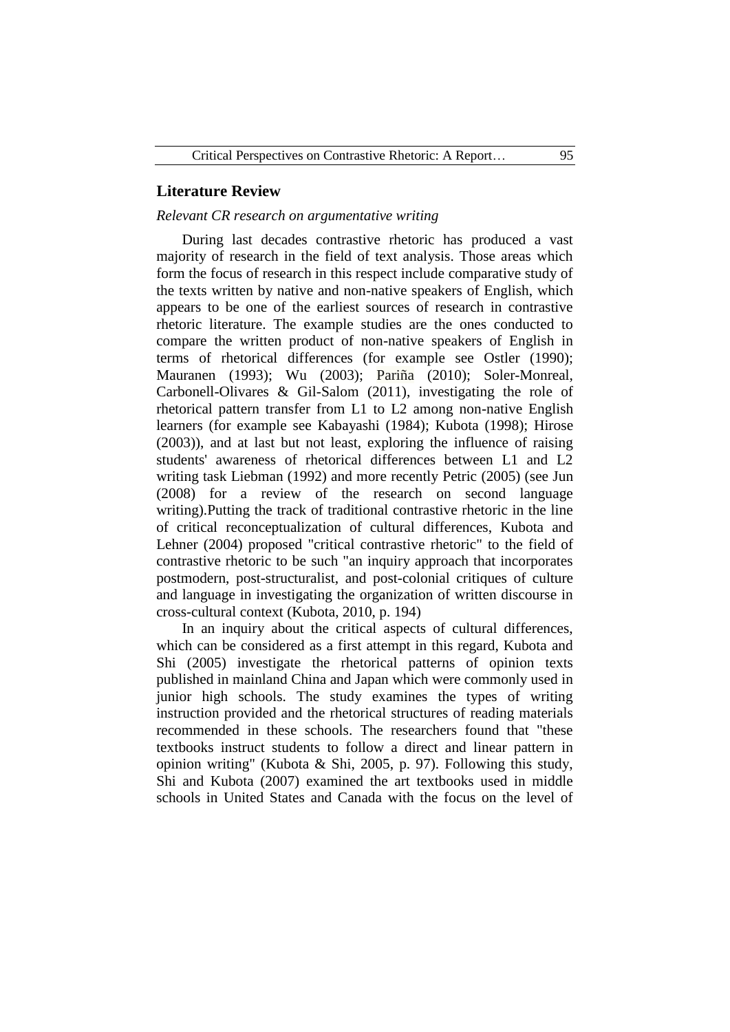## **Literature Review**

### *Relevant CR research on argumentative writing*

During last decades contrastive rhetoric has produced a vast majority of research in the field of text analysis. Those areas which form the focus of research in this respect include comparative study of the texts written by native and non-native speakers of English, which appears to be one of the earliest sources of research in contrastive rhetoric literature. The example studies are the ones conducted to compare the written product of non-native speakers of English in terms of rhetorical differences (for example see Ostler (1990); Mauranen (1993); Wu (2003); Pariña (2010); Soler-Monreal, Carbonell-Olivares & Gil-Salom (2011), investigating the role of rhetorical pattern transfer from L1 to L2 among non-native English learners (for example see Kabayashi (1984); Kubota (1998); Hirose (2003)), and at last but not least, exploring the influence of raising students' awareness of rhetorical differences between L1 and L2 writing task Liebman (1992) and more recently Petric (2005) (see Jun (2008) for a review of the research on second language writing).Putting the track of traditional contrastive rhetoric in the line of critical reconceptualization of cultural differences, Kubota and Lehner (2004) proposed "critical contrastive rhetoric" to the field of contrastive rhetoric to be such "an inquiry approach that incorporates postmodern, post-structuralist, and post-colonial critiques of culture and language in investigating the organization of written discourse in cross-cultural context (Kubota, 2010, p. 194)

In an inquiry about the critical aspects of cultural differences, which can be considered as a first attempt in this regard, Kubota and Shi (2005) investigate the rhetorical patterns of opinion texts published in mainland China and Japan which were commonly used in junior high schools. The study examines the types of writing instruction provided and the rhetorical structures of reading materials recommended in these schools. The researchers found that "these textbooks instruct students to follow a direct and linear pattern in opinion writing" (Kubota & Shi, 2005, p. 97). Following this study, Shi and Kubota (2007) examined the art textbooks used in middle schools in United States and Canada with the focus on the level of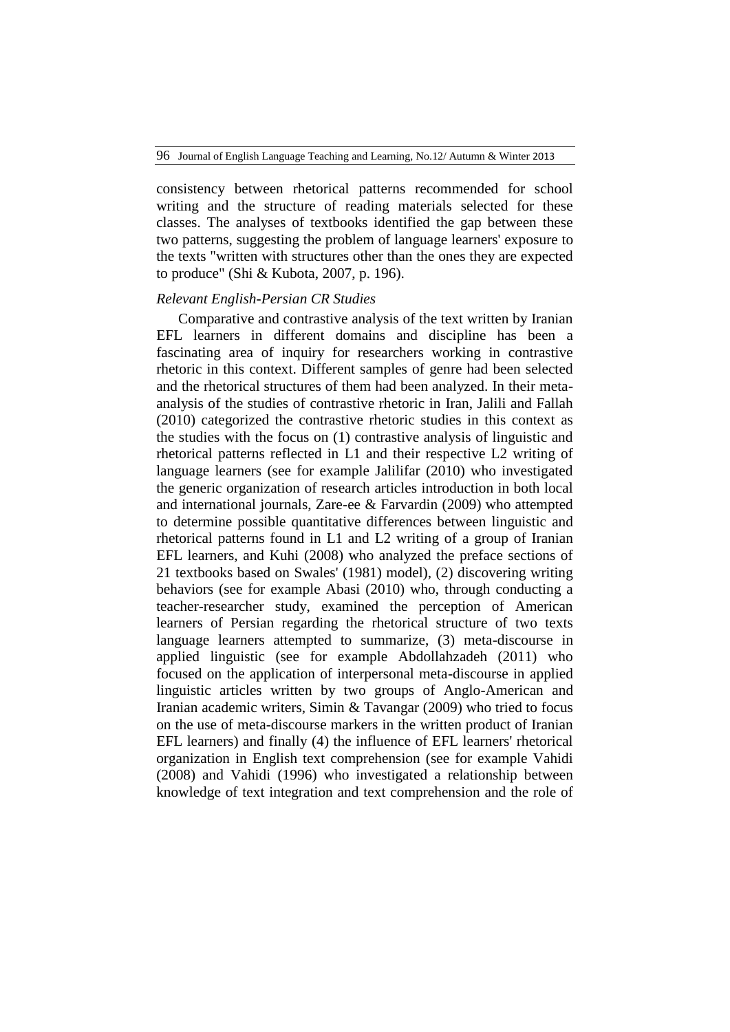consistency between rhetorical patterns recommended for school writing and the structure of reading materials selected for these classes. The analyses of textbooks identified the gap between these two patterns, suggesting the problem of language learners' exposure to the texts "written with structures other than the ones they are expected to produce" (Shi & Kubota, 2007, p. 196).

#### *Relevant English-Persian CR Studies*

Comparative and contrastive analysis of the text written by Iranian EFL learners in different domains and discipline has been a fascinating area of inquiry for researchers working in contrastive rhetoric in this context. Different samples of genre had been selected and the rhetorical structures of them had been analyzed. In their metaanalysis of the studies of contrastive rhetoric in Iran, Jalili and Fallah (2010) categorized the contrastive rhetoric studies in this context as the studies with the focus on (1) contrastive analysis of linguistic and rhetorical patterns reflected in L1 and their respective L2 writing of language learners (see for example Jalilifar (2010) who investigated the generic organization of research articles introduction in both local and international journals, Zare-ee & Farvardin (2009) who attempted to determine possible quantitative differences between linguistic and rhetorical patterns found in L1 and L2 writing of a group of Iranian EFL learners, and Kuhi (2008) who analyzed the preface sections of 21 textbooks based on Swales' (1981) model), (2) discovering writing behaviors (see for example Abasi (2010) who, through conducting a teacher-researcher study, examined the perception of American learners of Persian regarding the rhetorical structure of two texts language learners attempted to summarize, (3) meta-discourse in applied linguistic (see for example Abdollahzadeh (2011) who focused on the application of interpersonal meta-discourse in applied linguistic articles written by two groups of Anglo-American and Iranian academic writers, Simin & Tavangar (2009) who tried to focus on the use of meta-discourse markers in the written product of Iranian EFL learners) and finally (4) the influence of EFL learners' rhetorical organization in English text comprehension (see for example Vahidi (2008) and Vahidi (1996) who investigated a relationship between knowledge of text integration and text comprehension and the role of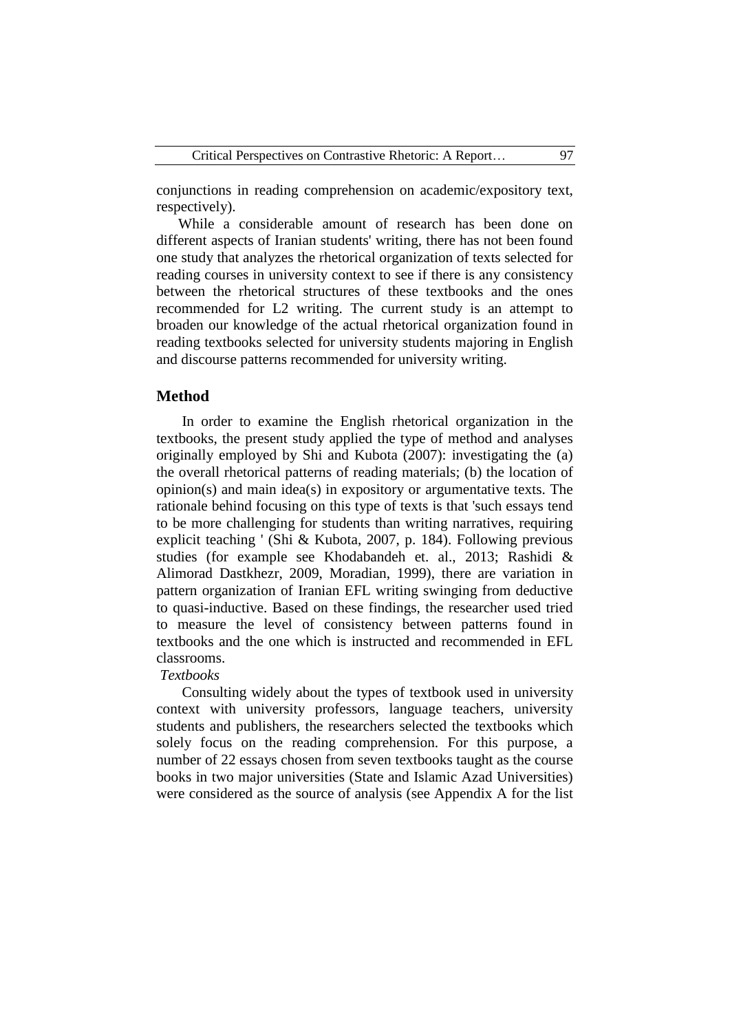conjunctions in reading comprehension on academic/expository text, respectively).

While a considerable amount of research has been done on different aspects of Iranian students' writing, there has not been found one study that analyzes the rhetorical organization of texts selected for reading courses in university context to see if there is any consistency between the rhetorical structures of these textbooks and the ones recommended for L2 writing. The current study is an attempt to broaden our knowledge of the actual rhetorical organization found in reading textbooks selected for university students majoring in English and discourse patterns recommended for university writing.

# **Method**

In order to examine the English rhetorical organization in the textbooks, the present study applied the type of method and analyses originally employed by Shi and Kubota (2007): investigating the (a) the overall rhetorical patterns of reading materials; (b) the location of opinion(s) and main idea(s) in expository or argumentative texts. The rationale behind focusing on this type of texts is that 'such essays tend to be more challenging for students than writing narratives, requiring explicit teaching ' (Shi & Kubota, 2007, p. 184). Following previous studies (for example see Khodabandeh et. al., 2013; Rashidi & Alimorad Dastkhezr, 2009, Moradian, 1999), there are variation in pattern organization of Iranian EFL writing swinging from deductive to quasi-inductive. Based on these findings, the researcher used tried to measure the level of consistency between patterns found in textbooks and the one which is instructed and recommended in EFL classrooms.

#### *Textbooks*

Consulting widely about the types of textbook used in university context with university professors, language teachers, university students and publishers, the researchers selected the textbooks which solely focus on the reading comprehension. For this purpose, a number of 22 essays chosen from seven textbooks taught as the course books in two major universities (State and Islamic Azad Universities) were considered as the source of analysis (see Appendix A for the list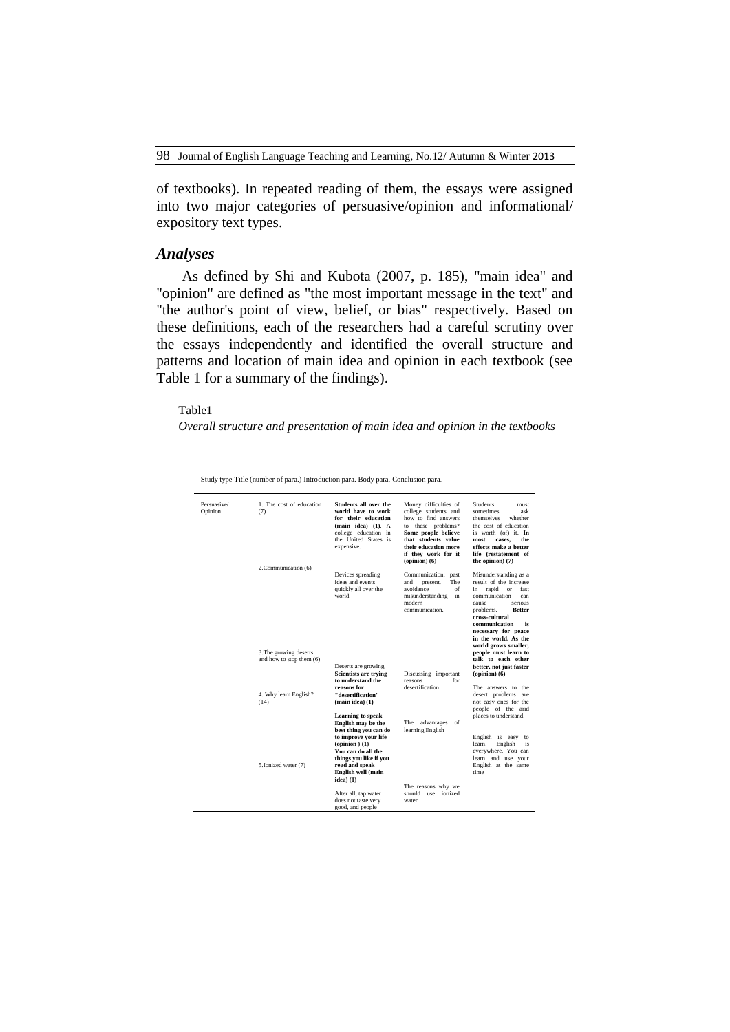of textbooks). In repeated reading of them, the essays were assigned into two major categories of persuasive/opinion and informational/ expository text types.

## *Analyses*

As defined by Shi and Kubota (2007, p. 185), "main idea" and "opinion" are defined as "the most important message in the text" and "the author's point of view, belief, or bias" respectively. Based on these definitions, each of the researchers had a careful scrutiny over the essays independently and identified the overall structure and patterns and location of main idea and opinion in each textbook (see Table 1 for a summary of the findings).

## Table1

*Overall structure and presentation of main idea and opinion in the textbooks*

| Persuasive/<br>Opinion | 1. The cost of education<br>(7)                           | Students all over the<br>world have to work<br>for their education<br>(main idea) (1). A<br>college education in<br>the United States is<br>expensive.                                                                                      | Money difficulties of<br>college students and<br>how to find answers<br>to these problems?<br>Some people believe<br>that students value<br>their education more<br>if they work for it<br>$opinion)$ (6) | <b>Students</b><br>must<br>sometimes<br>ask<br>themselves<br>whether<br>the cost of education<br>is worth (of) it. In<br>the<br>most<br>cases.<br>effects make a better<br>life (restatement of<br>the opinion) (7)                                                                            |
|------------------------|-----------------------------------------------------------|---------------------------------------------------------------------------------------------------------------------------------------------------------------------------------------------------------------------------------------------|-----------------------------------------------------------------------------------------------------------------------------------------------------------------------------------------------------------|------------------------------------------------------------------------------------------------------------------------------------------------------------------------------------------------------------------------------------------------------------------------------------------------|
|                        | 2. Communication (6)<br>3. The growing deserts            | Devices spreading<br>ideas and events<br>quickly all over the<br>world                                                                                                                                                                      | Communication: past<br>The<br>present.<br>and<br>avoidance<br>of<br>misunderstanding<br>in<br>modern<br>communication.                                                                                    | Misunderstanding as a<br>result of the increase<br>rapid<br>fast<br>in<br>or<br>communication<br>can<br>serious<br>cause<br>problems.<br><b>Better</b><br>cross-cultural<br>communication<br>is<br>necessary for peace<br>in the world. As the<br>world grows smaller,<br>people must learn to |
|                        | and how to stop them (6)<br>4. Why learn English?<br>(14) | Deserts are growing.<br><b>Scientists are trying</b><br>to understand the<br>reasons for<br>"desertification"<br>(main idea) (1)                                                                                                            | Discussing important<br>reasons<br>for<br>desertification                                                                                                                                                 | talk to each other<br>better, not just faster<br>$opinion)$ (6)<br>The answers to the<br>desert problems are<br>not easy ones for the<br>people of the arid                                                                                                                                    |
|                        | 5.Ionized water (7)                                       | <b>Learning to speak</b><br>English may be the<br>best thing you can do<br>to improve your life<br>$\text{(opinion)}\left(1\right)$<br>You can do all the<br>things you like if you<br>read and speak<br>English well (main<br>$ideal)$ (1) | The advantages of<br>learning English                                                                                                                                                                     | places to understand.<br>English is easy to<br>learn.<br>English<br>is<br>everywhere. You can<br>learn and use your<br>English at the same<br>time.                                                                                                                                            |
|                        |                                                           | After all, tap water<br>does not taste very<br>good, and people                                                                                                                                                                             | The reasons why we<br>should use ionized<br>water                                                                                                                                                         |                                                                                                                                                                                                                                                                                                |

Study type Title (number of para.) Introduction para. Body para. Conclusion para.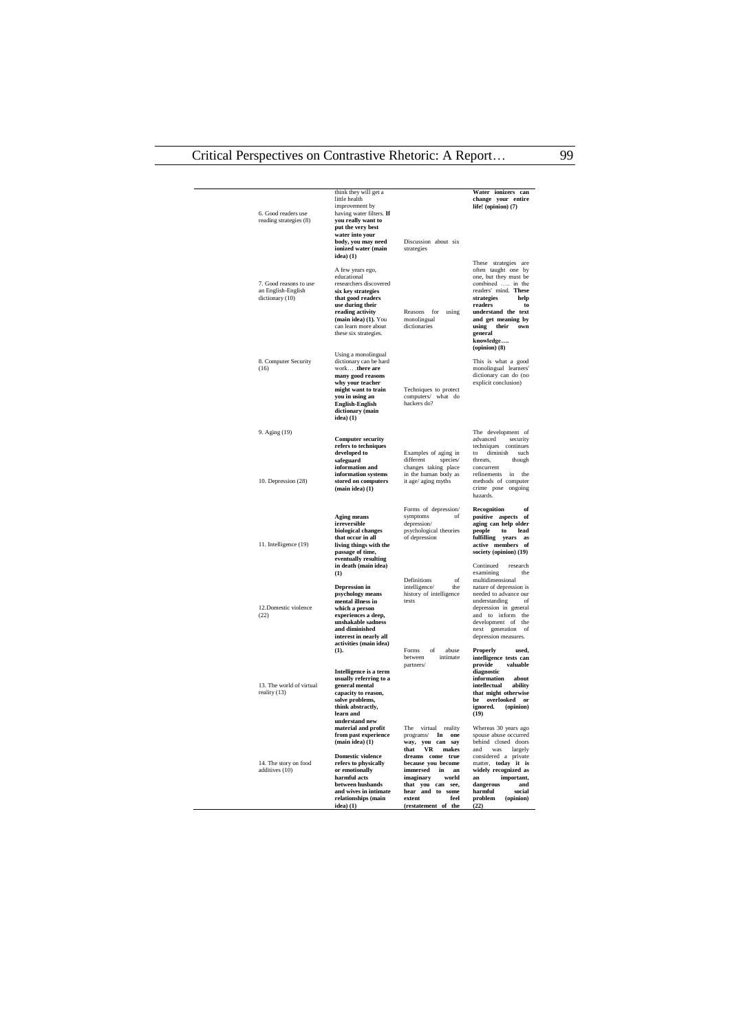| 6. Good readers use<br>reading strategies (8)                   | think they will get a<br>little health<br>improvement by<br>having water filters. If<br>you really want to<br>put the very best                                                                                       |                                                                                                                                                                         | Water ionizers can<br>change your entire<br>life! (opinion) (7)                                                                                                                                                                                       |
|-----------------------------------------------------------------|-----------------------------------------------------------------------------------------------------------------------------------------------------------------------------------------------------------------------|-------------------------------------------------------------------------------------------------------------------------------------------------------------------------|-------------------------------------------------------------------------------------------------------------------------------------------------------------------------------------------------------------------------------------------------------|
|                                                                 | water into your<br>body, you may need<br>ionized water (main<br>idea) (1)                                                                                                                                             | Discussion about six<br>strategies                                                                                                                                      |                                                                                                                                                                                                                                                       |
| 7. Good reasons to use<br>an English-English<br>dictionary (10) | A few years ego,<br>educational<br>researchers discovered<br>six key strategies<br>that good readers<br>use during their<br>reading activity<br>(main idea) (1). You<br>can learn more about<br>these six strategies. | Reasons for<br>using<br>monolingual<br>dictionaries                                                                                                                     | These strategies are<br>often taught one by<br>one, but they must be<br>combined  in the<br>readers' mind. These<br>strategies<br>help<br>readers<br>to<br>understand the text<br>and get meaning by<br>using<br>their<br>own<br>general<br>knowledge |
| 8. Computer Security<br>(16)                                    | Using a monolingual<br>dictionary can be hard<br>work . there are<br>many good reasons<br>why your teacher<br>might want to train<br>you in using an<br>English-English<br>dictionary (main<br>idea) (1)              | Techniques to protect<br>computers/ what do<br>hackers do?                                                                                                              | $opinion)$ (8)<br>This is what a good<br>monolingual learners'<br>dictionary can do (no<br>explicit conclusion)                                                                                                                                       |
| 9. Aging (19)                                                   | <b>Computer security</b>                                                                                                                                                                                              |                                                                                                                                                                         | The development of<br>advanced<br>security                                                                                                                                                                                                            |
| 10. Depression (28)                                             | refers to techniques<br>developed to<br>safeguard<br>information and<br>information systems<br>stored on computers<br>$(main idea)$ $(1)$                                                                             | Examples of aging in<br>different<br>species/<br>changes taking place<br>in the human body as<br>it age/ aging myths                                                    | techniques<br>continues<br>to diminish such<br>threats,<br>though<br>concurrent<br>refinements<br>in the<br>methods of computer<br>crime pose ongoing<br>hazards.                                                                                     |
| 11. Intelligence (19)                                           | Aging means<br>irreversible<br>biological changes<br>that occur in all<br>living things with the<br>passage of time,<br>eventually resulting<br>in death (main idea)                                                  | Forms of depression/<br>symptoms<br>of<br>depression/<br>psychological theories<br>of depression                                                                        | of<br>Recognition<br>positive aspects of<br>aging can help older<br>people<br>to<br>lead<br>fulfilling years as<br>active members of<br>society (opinion) (19)<br>Continued<br>research                                                               |
| 12.Domestic violence<br>(22)                                    | (1)<br>Depression in<br>psychology means<br>mental illness in<br>which a person<br>experiences a deep,<br>unshakable sadness<br>and diminished<br>interest in nearly all<br>activities (main idea)                    | Definitions<br>$\alpha$ f<br>intelligence/<br>the.<br>history of intelligence<br>tests                                                                                  | examining<br>the<br>multidimensional<br>nature of depression is<br>needed to advance our<br>understanding<br>- of<br>depression in general<br>and to inform the<br>development of the<br>next generation<br>of<br>depression measures.                |
|                                                                 | (1).<br>Intelligence is a term                                                                                                                                                                                        | abuse<br>Forms<br>of<br>intimate<br>hetween<br>partners/                                                                                                                | Properly<br>used,<br>intelligence tests can<br>provide<br>valuable<br>diagnostic                                                                                                                                                                      |
| 13. The world of virtual<br>reality (13)                        | usually referring to a<br>general mental<br>capacity to reason,<br>solve problems,<br>think abstractly,<br>learn and<br>understand new                                                                                |                                                                                                                                                                         | information<br>about<br>intellectual<br>ability<br>that might otherwise<br>be overlooked or<br>ignored.<br>(opinion)<br>(19)                                                                                                                          |
| 14. The story on food<br>additives (10)                         | material and profit<br>from past experience<br>(main idea) (1)<br><b>Domestic violence</b><br>refers to physically<br>or emotionally<br>harmful acts                                                                  | The<br>virtual<br>reality<br>In<br>programs/<br>one<br>way, you can say<br><b>VR</b><br>makes<br>that<br>dreams come true<br>because you become<br>immersed<br>in<br>an | Whereas 30 years ago<br>spouse abuse occurred<br>behind closed doors<br>was largely<br>and<br>considered a private<br>matter, today it is<br>widely recognized as<br>an                                                                               |
|                                                                 | between husbands<br>and wives in intimate<br>relationships (main<br>$idea)$ (1)                                                                                                                                       | imaginary<br>world<br>that you can see,<br>hear and to some<br>extent<br>feel<br>(restatement of the                                                                    | important,<br>dangerous<br>and<br>harmful<br>social<br>problem<br>(opinion)<br>(22)                                                                                                                                                                   |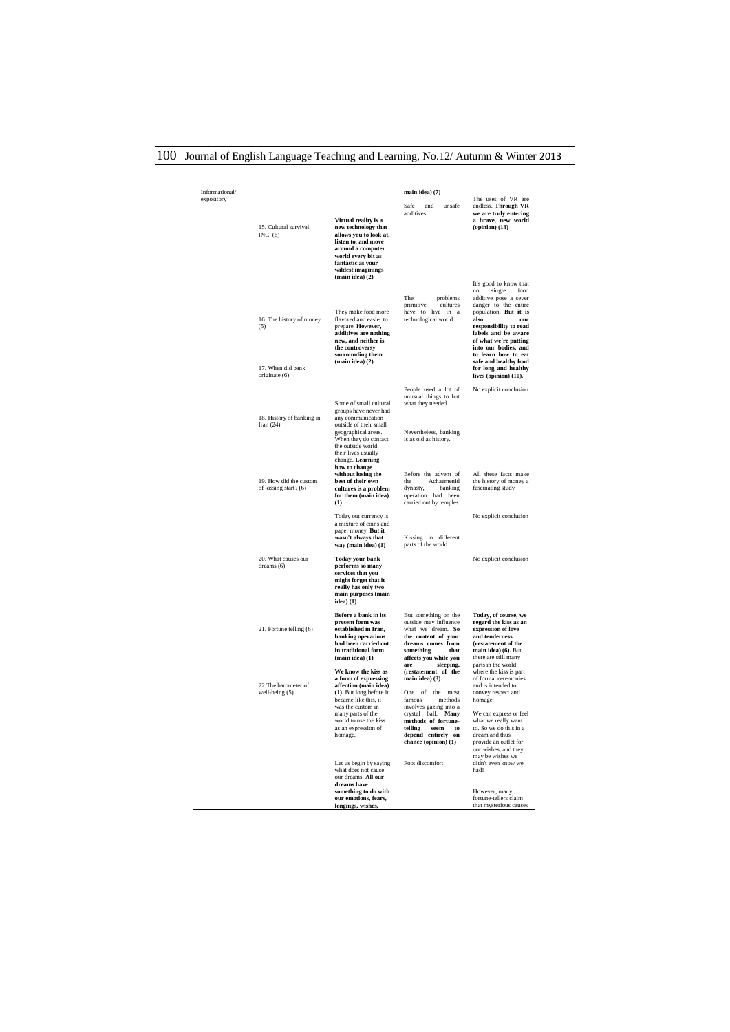| Informational/<br>expository | 15. Cultural survival,<br>INC. $(6)$                                  | Virtual reality is a<br>new technology that<br>allows you to look at,<br>listen to, and move<br>around a computer<br>world every bit as<br>fantastic as your<br>wildest imaginings<br>$(\text{main idea})$ $(2)$             | main idea) (7)<br>Safe.<br>and<br>unsafe<br>additives                                                                                                                                                                                        | The uses of VR are<br>endless. Through VR<br>we are truly entering<br>a brave, new world<br>$\left($ opinion $\right)$ $(13)$                                                                                                                                                                                                              |
|------------------------------|-----------------------------------------------------------------------|------------------------------------------------------------------------------------------------------------------------------------------------------------------------------------------------------------------------------|----------------------------------------------------------------------------------------------------------------------------------------------------------------------------------------------------------------------------------------------|--------------------------------------------------------------------------------------------------------------------------------------------------------------------------------------------------------------------------------------------------------------------------------------------------------------------------------------------|
|                              | 16. The history of money<br>(5)<br>17. When did bank<br>originate (6) | They make food more<br>flavored and easier to<br>prepare; However,<br>additives are nothing<br>new, and neither is<br>the controversy<br>surrounding them<br>(main idea) (2)                                                 | The<br>problems<br>primitive<br>cultures<br>have to live in a<br>technological world                                                                                                                                                         | It's good to know that<br>single<br>food<br>no<br>additive pose a sever<br>danger to the entire<br>population. But it is<br>also<br>our<br>responsibility to read<br>labels and be aware<br>of what we're putting<br>into our bodies, and<br>to learn how to eat<br>safe and healthy food<br>for long and healthy<br>lives (opinion) (10). |
|                              | 18. History of banking in<br>Iran $(24)$                              | Some of small cultural<br>groups have never had<br>any communication<br>outside of their small<br>geographical areas.<br>When they do contact<br>the outside world,<br>their lives usually<br>change. Learning               | People used a lot of<br>unusual things to but<br>what they needed<br>Nevertheless, banking<br>is as old as history.                                                                                                                          | No explicit conclusion                                                                                                                                                                                                                                                                                                                     |
|                              | 19. How did the custom<br>of kissing start? (6)                       | how to change<br>without losing the<br>best of their own<br>cultures is a problem<br>for them (main idea)<br>(1)                                                                                                             | Before the advent of<br>Achaemenid<br>the<br>dynasty,<br>banking<br>operation had been<br>carried out by temples                                                                                                                             | All these facts make<br>the history of money a<br>fascinating study                                                                                                                                                                                                                                                                        |
|                              |                                                                       | Today out currency is<br>a mixture of coins and<br>paper money. But it<br>wasn't always that<br>way (main idea) (1)                                                                                                          | Kissing in different<br>parts of the world                                                                                                                                                                                                   | No explicit conclusion                                                                                                                                                                                                                                                                                                                     |
|                              | 20. What causes our<br>dreams (6)                                     | <b>Today your bank</b><br>performs so many<br>services that you<br>might forget that it<br>really has only two<br>main purposes (main<br>$ideal)$ (1)                                                                        |                                                                                                                                                                                                                                              | No explicit conclusion                                                                                                                                                                                                                                                                                                                     |
|                              | 21. Fortune telling (6)                                               | Before a bank in its<br>present form was<br>established in Iran,<br>banking operations<br>had been carried out<br>in traditional form<br>$(\text{main idea})$ $(1)$                                                          | But something on the<br>outside may influence<br>what we dream. So<br>the content of your<br>dreams comes from<br>something<br>that<br>affects you while you                                                                                 | Today, of course, we<br>regard the kiss as an<br>expression of love<br>and tenderness<br>(restatement of the<br>main idea) (6). But<br>there are still many                                                                                                                                                                                |
|                              | 22. The barometer of<br>well-being (5)                                | We know the kiss as<br>a form of expressing<br>affection (main idea)<br>(1). But long before it<br>became like this, it<br>was the custom in<br>many parts of the<br>world to use the kiss<br>as an expression of<br>homage. | sleeping.<br>are<br>(restatement of the<br>main idea) (3)<br>One of the most<br>famous<br>methods<br>involves gazing into a<br>crystal ball. Many<br>methods of fortune-<br>telling<br>seem to<br>depend entirely on<br>chance (opinion) (1) | parts in the world<br>where the kiss is part<br>of formal ceremonies<br>and is intended to<br>convey respect and<br>homage.<br>We can express or feel<br>what we really want<br>to. So we do this in a<br>dream and thus<br>provide an outlet for<br>our wishes, and they<br>may be wishes we                                              |
|                              |                                                                       | Let us begin by saying<br>what does not cause<br>our dreams. All our<br>dreams have<br>something to do with<br>our emotions, fears,<br>longings, wishes,                                                                     | Foot discomfort                                                                                                                                                                                                                              | didn't even know we<br>had!<br>However, many<br>fortune-tellers claim<br>that mysterious causes                                                                                                                                                                                                                                            |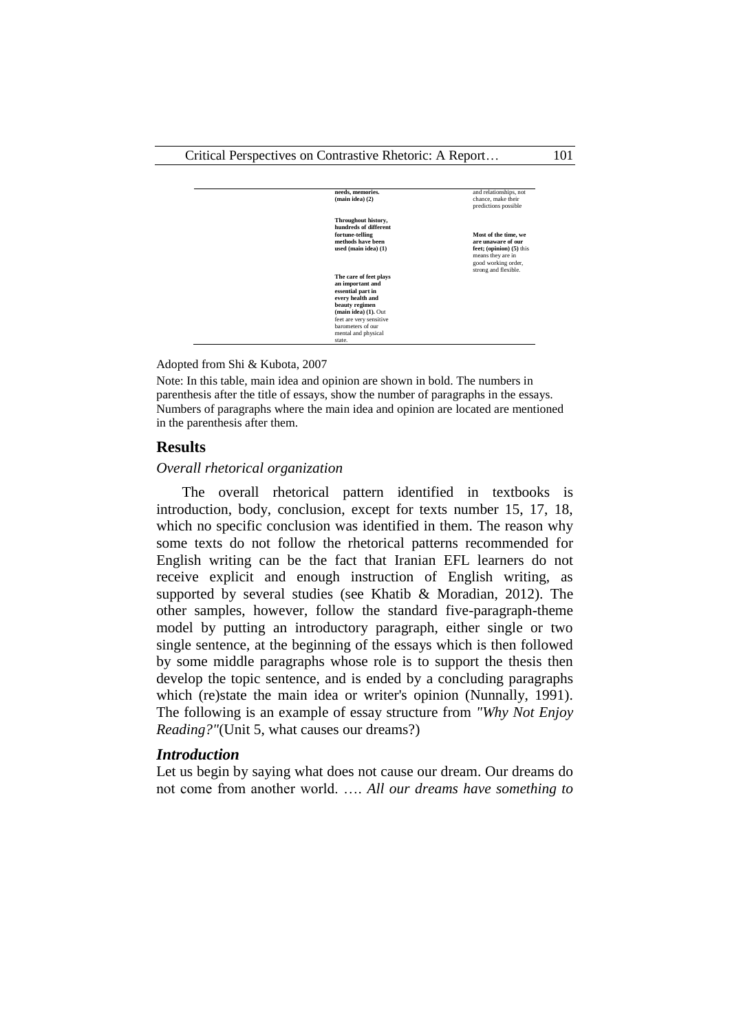

Adopted from Shi & Kubota, 2007

Note: In this table, main idea and opinion are shown in bold. The numbers in parenthesis after the title of essays, show the number of paragraphs in the essays. Numbers of paragraphs where the main idea and opinion are located are mentioned in the parenthesis after them.

#### **Results**

#### *Overall rhetorical organization*

The overall rhetorical pattern identified in textbooks is introduction, body, conclusion, except for texts number 15, 17, 18, which no specific conclusion was identified in them. The reason why some texts do not follow the rhetorical patterns recommended for English writing can be the fact that Iranian EFL learners do not receive explicit and enough instruction of English writing, as supported by several studies (see Khatib & Moradian, 2012). The other samples, however, follow the standard five-paragraph-theme model by putting an introductory paragraph, either single or two single sentence, at the beginning of the essays which is then followed by some middle paragraphs whose role is to support the thesis then develop the topic sentence, and is ended by a concluding paragraphs which (re)state the main idea or writer's opinion (Nunnally, 1991). The following is an example of essay structure from *"Why Not Enjoy Reading?"*(Unit 5, what causes our dreams?)

#### *Introduction*

Let us begin by saying what does not cause our dream. Our dreams do not come from another world. …. *All our dreams have something to*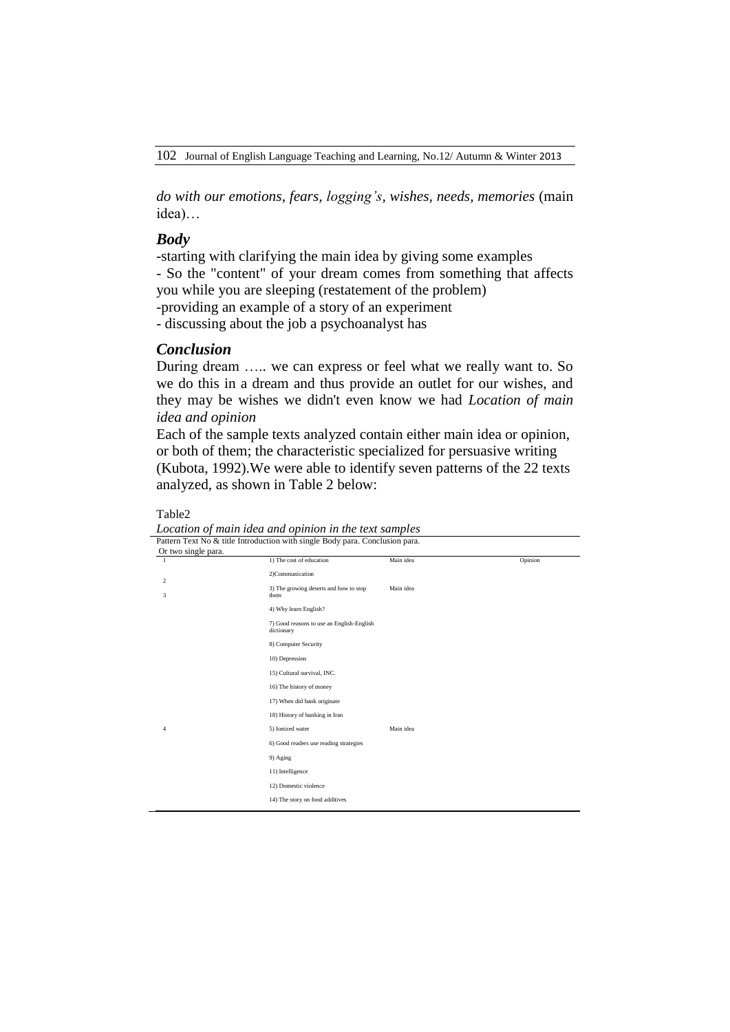*do with our emotions, fears, logging's, wishes, needs, memories* (main idea)…

### *Body*

-starting with clarifying the main idea by giving some examples - So the "content" of your dream comes from something that affects you while you are sleeping (restatement of the problem) -providing an example of a story of an experiment - discussing about the job a psychoanalyst has

## *Conclusion*

During dream ….. we can express or feel what we really want to. So we do this in a dream and thus provide an outlet for our wishes, and they may be wishes we didn't even know we had *Location of main idea and opinion*

Each of the sample texts analyzed contain either main idea or opinion, or both of them; the characteristic specialized for persuasive writing (Kubota, 1992).We were able to identify seven patterns of the 22 texts analyzed, as shown in Table 2 below:

*Location of main idea and opinion in the text samples* Pattern Text No & title Introduction with single Body para. Conclusion para. Or two single para. 1 2 3 4 1) The cost of education 2)Communication 3) The growing deserts and how to stop them 4) Why learn English? 7) Good reasons to use an English-English dictionary 8) Computer Security 10) Depression 15) Cultural survival, INC. 16) The history of money 17) When did bank originate 18) History of banking in Iran 5) Ionized water 6) Good readers use reading strategies 9) Aging 11) Intelligence 12) Domestic violence 14) The story on food additives Main idea Main idea Main idea Opinion

Table2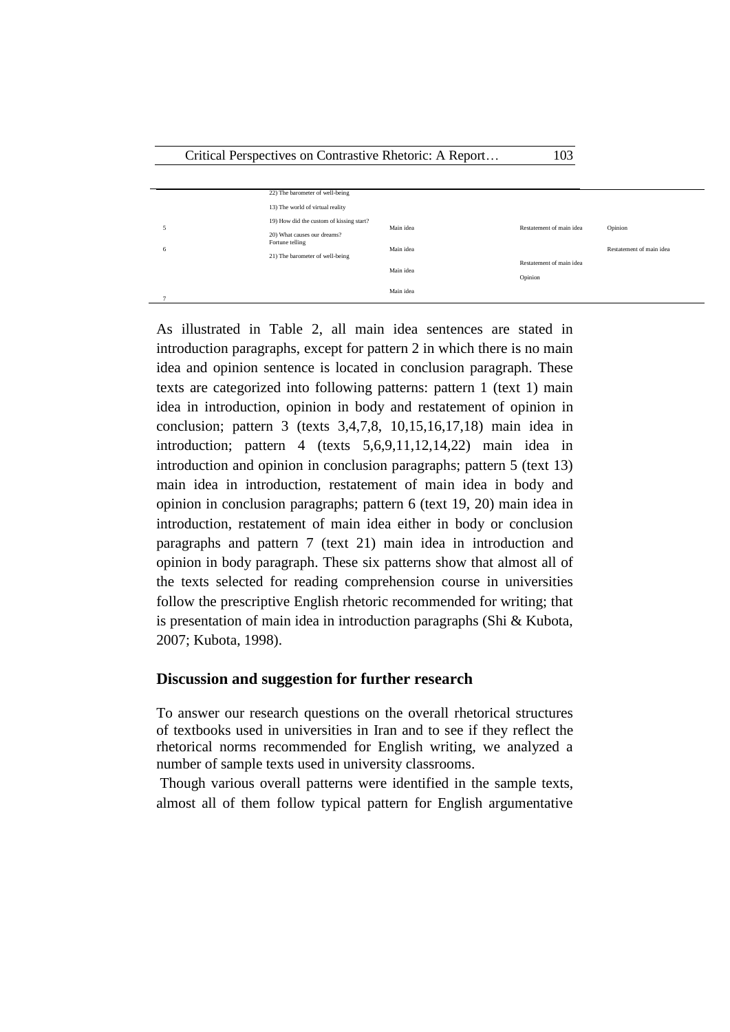|   | 22) The barometer of well-being                                         |           |                          |                          |
|---|-------------------------------------------------------------------------|-----------|--------------------------|--------------------------|
|   | 13) The world of virtual reality                                        |           |                          |                          |
|   | 19) How did the custom of kissing start?<br>20) What causes our dreams? | Main idea | Restatement of main idea | Opinion                  |
| 6 | Fortune telling<br>21) The barometer of well-being                      | Main idea |                          | Restatement of main idea |
|   |                                                                         | Main idea | Restatement of main idea |                          |
|   |                                                                         |           | Opinion                  |                          |
|   |                                                                         | Main idea |                          |                          |

As illustrated in Table 2, all main idea sentences are stated in introduction paragraphs, except for pattern 2 in which there is no main idea and opinion sentence is located in conclusion paragraph. These texts are categorized into following patterns: pattern 1 (text 1) main idea in introduction, opinion in body and restatement of opinion in conclusion; pattern 3 (texts 3,4,7,8, 10,15,16,17,18) main idea in introduction; pattern 4 (texts 5,6,9,11,12,14,22) main idea in introduction and opinion in conclusion paragraphs; pattern 5 (text 13) main idea in introduction, restatement of main idea in body and opinion in conclusion paragraphs; pattern 6 (text 19, 20) main idea in introduction, restatement of main idea either in body or conclusion paragraphs and pattern 7 (text 21) main idea in introduction and opinion in body paragraph. These six patterns show that almost all of the texts selected for reading comprehension course in universities follow the prescriptive English rhetoric recommended for writing; that is presentation of main idea in introduction paragraphs (Shi & Kubota, 2007; Kubota, 1998).

## **Discussion and suggestion for further research**

To answer our research questions on the overall rhetorical structures of textbooks used in universities in Iran and to see if they reflect the rhetorical norms recommended for English writing, we analyzed a number of sample texts used in university classrooms.

Though various overall patterns were identified in the sample texts, almost all of them follow typical pattern for English argumentative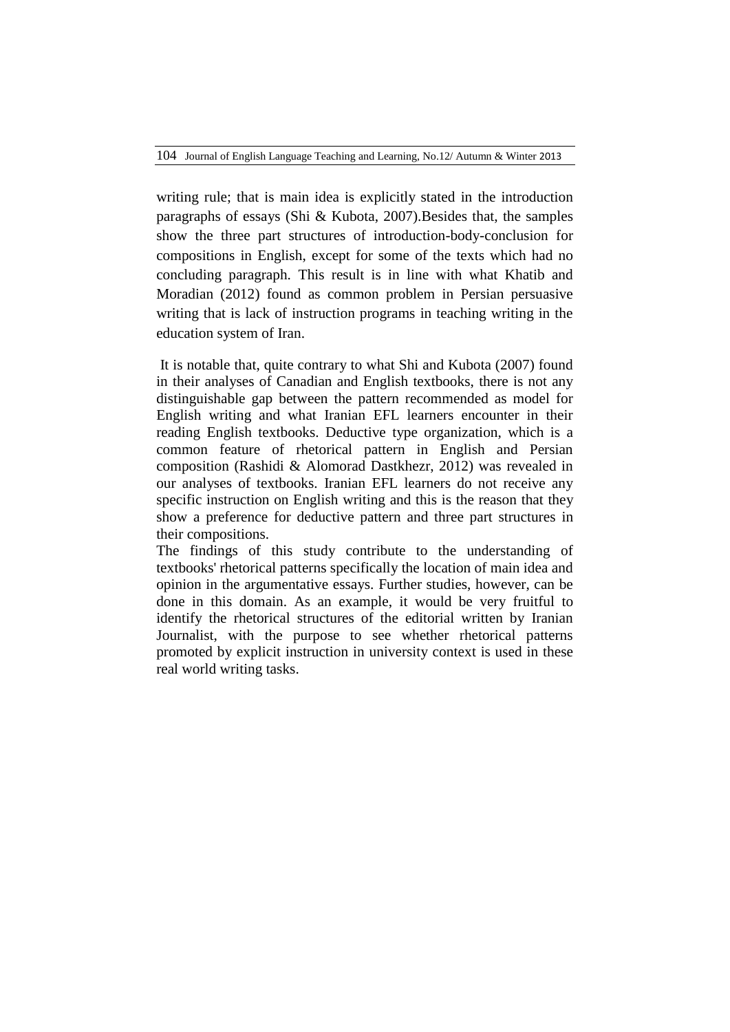writing rule; that is main idea is explicitly stated in the introduction paragraphs of essays (Shi & Kubota, 2007).Besides that, the samples show the three part structures of introduction-body-conclusion for compositions in English, except for some of the texts which had no concluding paragraph. This result is in line with what Khatib and Moradian (2012) found as common problem in Persian persuasive writing that is lack of instruction programs in teaching writing in the education system of Iran.

It is notable that, quite contrary to what Shi and Kubota (2007) found in their analyses of Canadian and English textbooks, there is not any distinguishable gap between the pattern recommended as model for English writing and what Iranian EFL learners encounter in their reading English textbooks. Deductive type organization, which is a common feature of rhetorical pattern in English and Persian composition (Rashidi & Alomorad Dastkhezr, 2012) was revealed in our analyses of textbooks. Iranian EFL learners do not receive any specific instruction on English writing and this is the reason that they show a preference for deductive pattern and three part structures in their compositions.

The findings of this study contribute to the understanding of textbooks' rhetorical patterns specifically the location of main idea and opinion in the argumentative essays. Further studies, however, can be done in this domain. As an example, it would be very fruitful to identify the rhetorical structures of the editorial written by Iranian Journalist, with the purpose to see whether rhetorical patterns promoted by explicit instruction in university context is used in these real world writing tasks.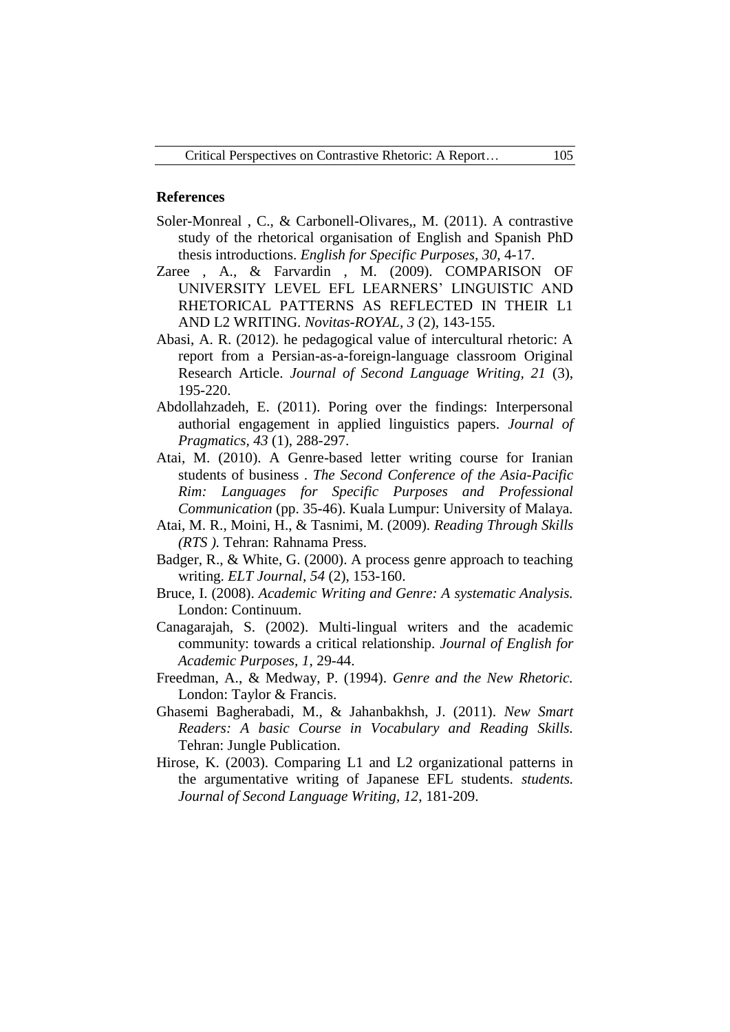#### **References**

- Soler-Monreal , C., & Carbonell-Olivares,, M. (2011). A contrastive study of the rhetorical organisation of English and Spanish PhD thesis introductions. *English for Specific Purposes, 30*, 4-17.
- Zaree , A., & Farvardin , M. (2009). COMPARISON OF UNIVERSITY LEVEL EFL LEARNERS' LINGUISTIC AND RHETORICAL PATTERNS AS REFLECTED IN THEIR L1 AND L2 WRITING. *Novitas-ROYAL, 3* (2), 143-155.
- Abasi, A. R. (2012). he pedagogical value of intercultural rhetoric: A report from a Persian-as-a-foreign-language classroom Original Research Article. *Journal of Second Language Writing, 21* (3), 195-220.
- Abdollahzadeh, E. (2011). Poring over the findings: Interpersonal authorial engagement in applied linguistics papers. *Journal of Pragmatics, 43* (1), 288-297.
- Atai, M. (2010). A Genre-based letter writing course for Iranian students of business . *The Second Conference of the Asia-Pacific Rim: Languages for Specific Purposes and Professional Communication* (pp. 35-46). Kuala Lumpur: University of Malaya.
- Atai, M. R., Moini, H., & Tasnimi, M. (2009). *Reading Through Skills (RTS ).* Tehran: Rahnama Press.
- Badger, R., & White, G. (2000). A process genre approach to teaching writing. *ELT Journal, 54* (2), 153-160.
- Bruce, I. (2008). *Academic Writing and Genre: A systematic Analysis.* London: Continuum.
- Canagarajah, S. (2002). Multi-lingual writers and the academic community: towards a critical relationship. *Journal of English for Academic Purposes, 1*, 29-44.
- Freedman, A., & Medway, P. (1994). *Genre and the New Rhetoric.* London: Taylor & Francis.
- Ghasemi Bagherabadi, M., & Jahanbakhsh, J. (2011). *New Smart Readers: A basic Course in Vocabulary and Reading Skills.* Tehran: Jungle Publication.
- Hirose, K. (2003). Comparing L1 and L2 organizational patterns in the argumentative writing of Japanese EFL students. *students. Journal of Second Language Writing, 12*, 181-209.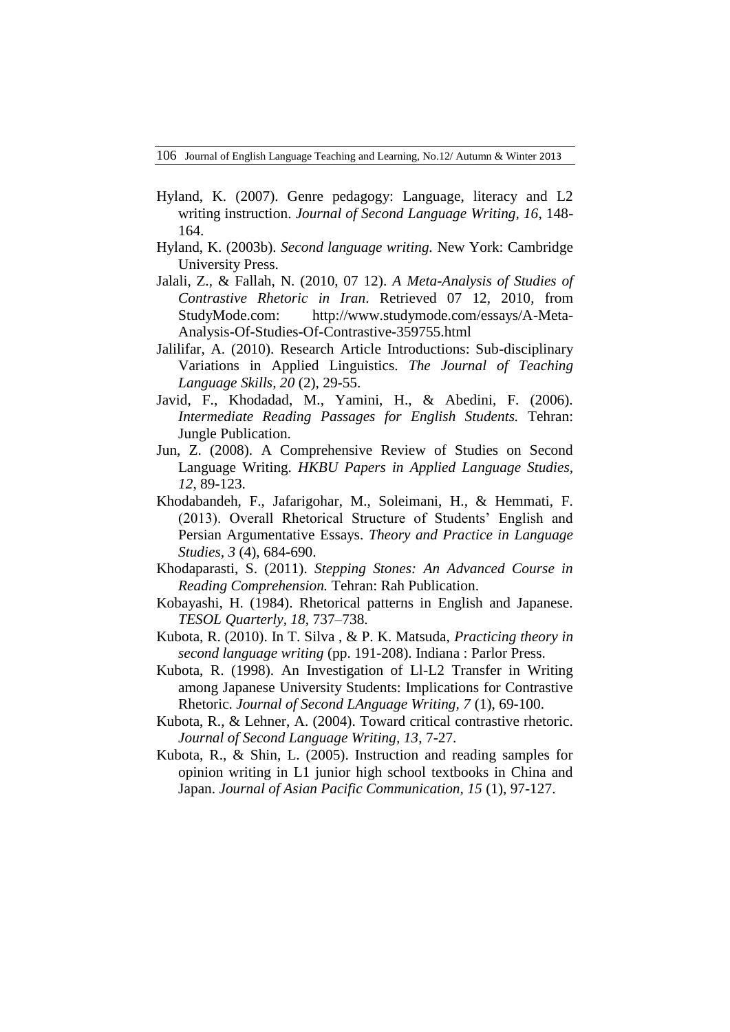- Hyland, K. (2007). Genre pedagogy: Language, literacy and L2 writing instruction. *Journal of Second Language Writing, 16*, 148- 164.
- Hyland, K. (2003b). *Second language writing.* New York: Cambridge University Press.
- Jalali, Z., & Fallah, N. (2010, 07 12). *A Meta-Analysis of Studies of Contrastive Rhetoric in Iran*. Retrieved 07 12, 2010, from StudyMode.com: http://www.studymode.com/essays/A-Meta-Analysis-Of-Studies-Of-Contrastive-359755.html
- Jalilifar, A. (2010). Research Article Introductions: Sub-disciplinary Variations in Applied Linguistics. *The Journal of Teaching Language Skills, 20* (2), 29-55.
- Javid, F., Khodadad, M., Yamini, H., & Abedini, F. (2006). *Intermediate Reading Passages for English Students.* Tehran: Jungle Publication.
- Jun, Z. (2008). A Comprehensive Review of Studies on Second Language Writing. *HKBU Papers in Applied Language Studies, 12*, 89-123.
- Khodabandeh, F., Jafarigohar, M., Soleimani, H., & Hemmati, F. (2013). Overall Rhetorical Structure of Students' English and Persian Argumentative Essays. *Theory and Practice in Language Studies, 3* (4), 684-690.
- Khodaparasti, S. (2011). *Stepping Stones: An Advanced Course in Reading Comprehension.* Tehran: Rah Publication.
- Kobayashi, H. (1984). Rhetorical patterns in English and Japanese. *TESOL Quarterly, 18*, 737–738.
- Kubota, R. (2010). In T. Silva , & P. K. Matsuda, *Practicing theory in second language writing* (pp. 191-208). Indiana : Parlor Press.
- Kubota, R. (1998). An Investigation of Ll-L2 Transfer in Writing among Japanese University Students: Implications for Contrastive Rhetoric. *Journal of Second LAnguage Writing, 7* (1), 69-100.
- Kubota, R., & Lehner, A. (2004). Toward critical contrastive rhetoric. *Journal of Second Language Writing, 13*, 7-27.
- Kubota, R., & Shin, L. (2005). Instruction and reading samples for opinion writing in L1 junior high school textbooks in China and Japan. *Journal of Asian Pacific Communication, 15* (1), 97-127.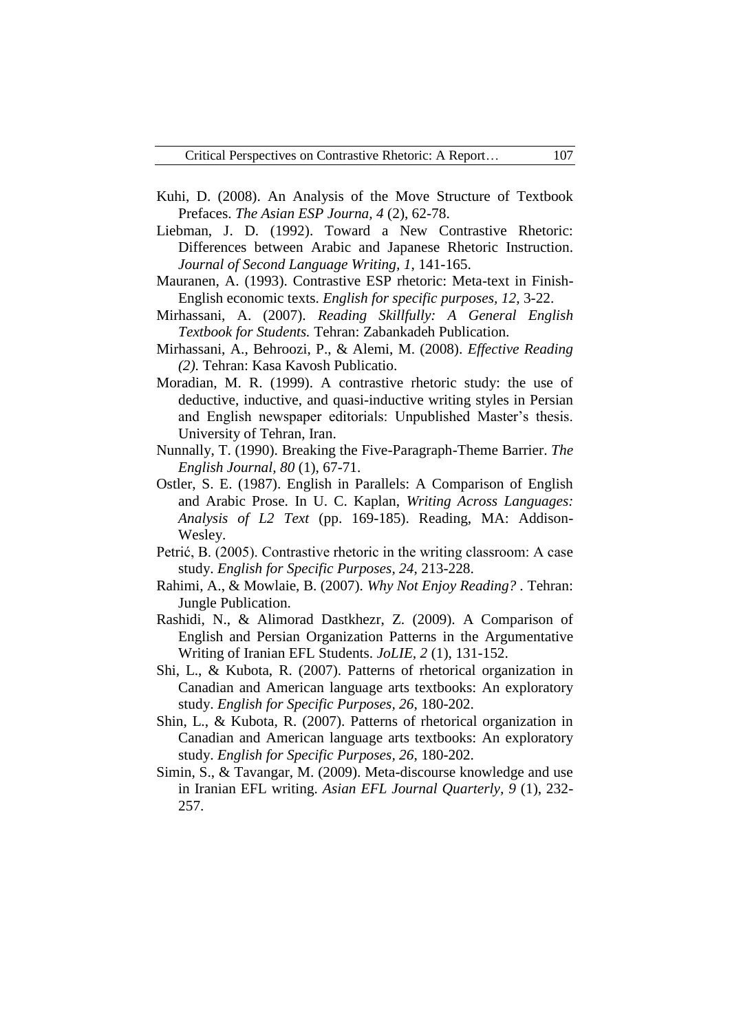- Kuhi, D. (2008). An Analysis of the Move Structure of Textbook Prefaces. *The Asian ESP Journa, 4* (2), 62-78.
- Liebman, J. D. (1992). Toward a New Contrastive Rhetoric: Differences between Arabic and Japanese Rhetoric Instruction. *Journal of Second Language Writing, 1*, 141-165.
- Mauranen, A. (1993). Contrastive ESP rhetoric: Meta-text in Finish-English economic texts. *English for specific purposes, 12*, 3-22.
- Mirhassani, A. (2007). *Reading Skillfully: A General English Textbook for Students.* Tehran: Zabankadeh Publication.
- Mirhassani, A., Behroozi, P., & Alemi, M. (2008). *Effective Reading (2).* Tehran: Kasa Kavosh Publicatio.
- Moradian, M. R. (1999). A contrastive rhetoric study: the use of deductive, inductive, and quasi-inductive writing styles in Persian and English newspaper editorials: Unpublished Master's thesis. University of Tehran, Iran.
- Nunnally, T. (1990). Breaking the Five-Paragraph-Theme Barrier. *The English Journal, 80* (1), 67-71.
- Ostler, S. E. (1987). English in Parallels: A Comparison of English and Arabic Prose. In U. C. Kaplan, *Writing Across Languages: Analysis of L2 Text* (pp. 169-185). Reading, MA: Addison-Wesley.
- Petrić, B. (2005). Contrastive rhetoric in the writing classroom: A case study. *English for Specific Purposes, 24*, 213-228.
- Rahimi, A., & Mowlaie, B. (2007). *Why Not Enjoy Reading? .* Tehran: Jungle Publication.
- Rashidi, N., & Alimorad Dastkhezr, Z. (2009). A Comparison of English and Persian Organization Patterns in the Argumentative Writing of Iranian EFL Students. *JoLIE, 2* (1), 131-152.
- Shi, L., & Kubota, R. (2007). Patterns of rhetorical organization in Canadian and American language arts textbooks: An exploratory study. *English for Specific Purposes, 26*, 180-202.
- Shin, L., & Kubota, R. (2007). Patterns of rhetorical organization in Canadian and American language arts textbooks: An exploratory study. *English for Specific Purposes, 26*, 180-202.
- Simin, S., & Tavangar, M. (2009). Meta-discourse knowledge and use in Iranian EFL writing. *Asian EFL Journal Quarterly, 9* (1), 232- 257.